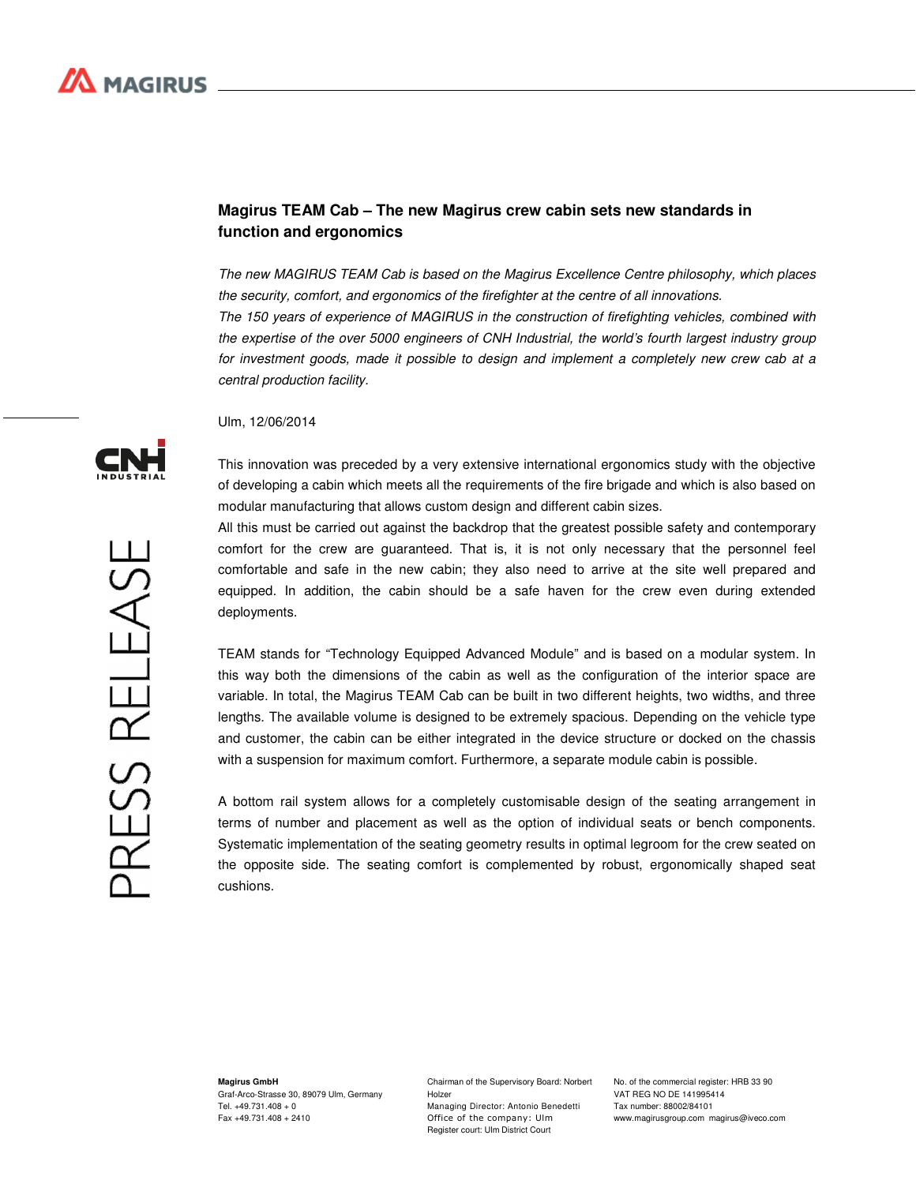## **Magirus TEAM Cab – The new Magirus crew cabin sets new standards in function and ergonomics**

The new MAGIRUS TEAM Cab is based on the Magirus Excellence Centre philosophy, which places the security, comfort, and ergonomics of the firefighter at the centre of all innovations. The 150 years of experience of MAGIRUS in the construction of firefighting vehicles, combined with the expertise of the over 5000 engineers of CNH Industrial, the world's fourth largest industry group for investment goods, made it possible to design and implement a completely new crew cab at a central production facility.

Ulm, 12/06/2014

This innovation was preceded by a very extensive international ergonomics study with the objective of developing a cabin which meets all the requirements of the fire brigade and which is also based on modular manufacturing that allows custom design and different cabin sizes.

All this must be carried out against the backdrop that the greatest possible safety and contemporary comfort for the crew are guaranteed. That is, it is not only necessary that the personnel feel comfortable and safe in the new cabin; they also need to arrive at the site well prepared and equipped. In addition, the cabin should be a safe haven for the crew even during extended deployments.

TEAM stands for "Technology Equipped Advanced Module" and is based on a modular system. In this way both the dimensions of the cabin as well as the configuration of the interior space are variable. In total, the Magirus TEAM Cab can be built in two different heights, two widths, and three lengths. The available volume is designed to be extremely spacious. Depending on the vehicle type and customer, the cabin can be either integrated in the device structure or docked on the chassis with a suspension for maximum comfort. Furthermore, a separate module cabin is possible.

A bottom rail system allows for a completely customisable design of the seating arrangement in terms of number and placement as well as the option of individual seats or bench components. Systematic implementation of the seating geometry results in optimal legroom for the crew seated on the opposite side. The seating comfort is complemented by robust, ergonomically shaped seat cushions.

PRESS RELEASE

**Magirus GmbH** Graf-Arco-Strasse 30, 89079 Ulm, Germany Tel. +49.731.408 + 0 Fax +49.731.408 + 2410

Chairman of the Supervisory Board: Norbert Holzer

Managing Director: Antonio Benedetti Office of the company: Ulm Register court: Ulm District Court

No. of the commercial register: HRB 33 90 VAT REG NO DE 141995414 Tax number: 88002/84101 www.magirusgroup.com magirus@iveco.com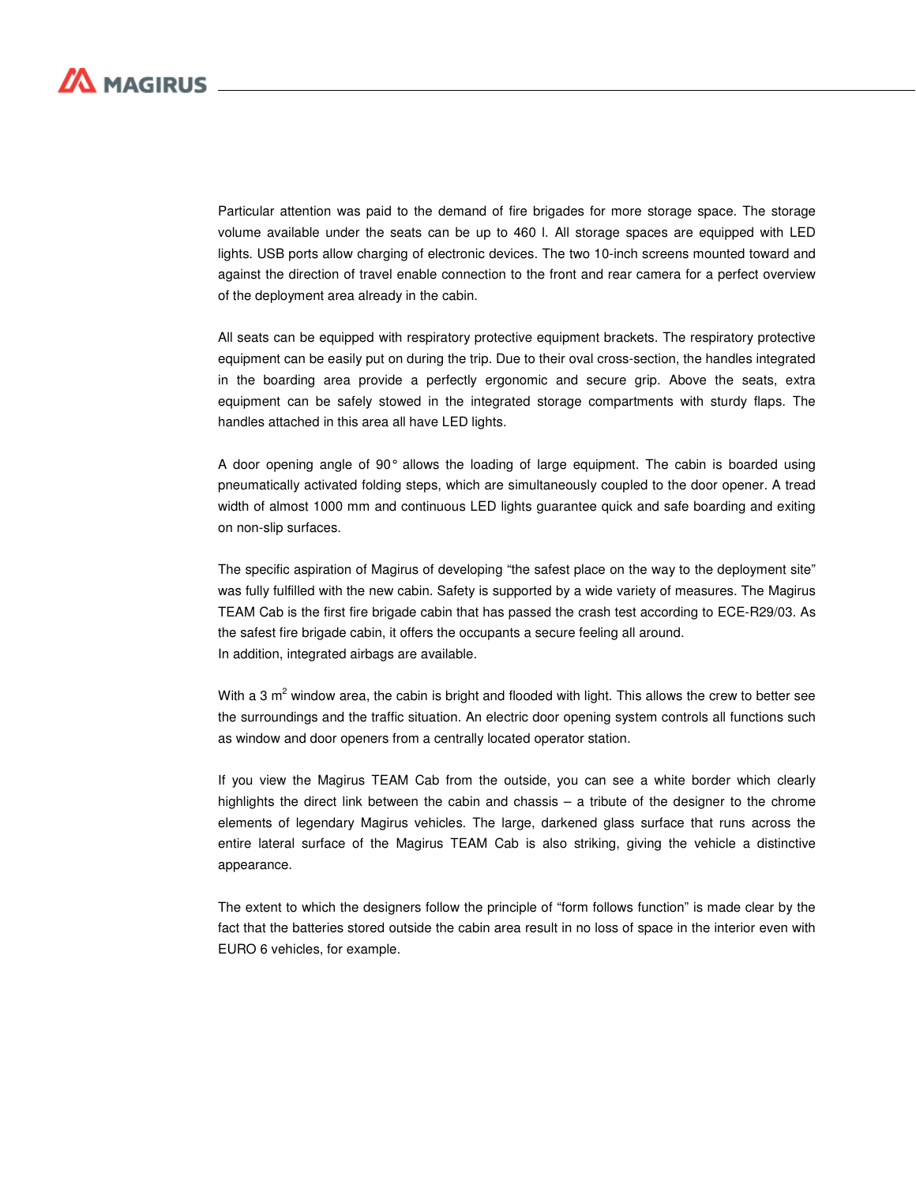

Particular attention was paid to the demand of fire brigades for more storage space. The storage volume available under the seats can be up to 460 l. All storage spaces are equipped with LED lights. USB ports allow charging of electronic devices. The two 10-inch screens mounted toward and against the direction of travel enable connection to the front and rear camera for a perfect overview of the deployment area already in the cabin.

All seats can be equipped with respiratory protective equipment brackets. The respiratory protective equipment can be easily put on during the trip. Due to their oval cross-section, the handles integrated in the boarding area provide a perfectly ergonomic and secure grip. Above the seats, extra equipment can be safely stowed in the integrated storage compartments with sturdy flaps. The handles attached in this area all have LED lights.

A door opening angle of 90° allows the loading of large equipment. The cabin is boarded using pneumatically activated folding steps, which are simultaneously coupled to the door opener. A tread width of almost 1000 mm and continuous LED lights guarantee quick and safe boarding and exiting on non-slip surfaces.

The specific aspiration of Magirus of developing "the safest place on the way to the deployment site" was fully fulfilled with the new cabin. Safety is supported by a wide variety of measures. The Magirus TEAM Cab is the first fire brigade cabin that has passed the crash test according to ECE-R29/03. As the safest fire brigade cabin, it offers the occupants a secure feeling all around. In addition, integrated airbags are available.

With a 3 m<sup>2</sup> window area, the cabin is bright and flooded with light. This allows the crew to better see the surroundings and the traffic situation. An electric door opening system controls all functions such as window and door openers from a centrally located operator station.

If you view the Magirus TEAM Cab from the outside, you can see a white border which clearly highlights the direct link between the cabin and chassis – a tribute of the designer to the chrome elements of legendary Magirus vehicles. The large, darkened glass surface that runs across the entire lateral surface of the Magirus TEAM Cab is also striking, giving the vehicle a distinctive appearance.

The extent to which the designers follow the principle of "form follows function" is made clear by the fact that the batteries stored outside the cabin area result in no loss of space in the interior even with EURO 6 vehicles, for example.